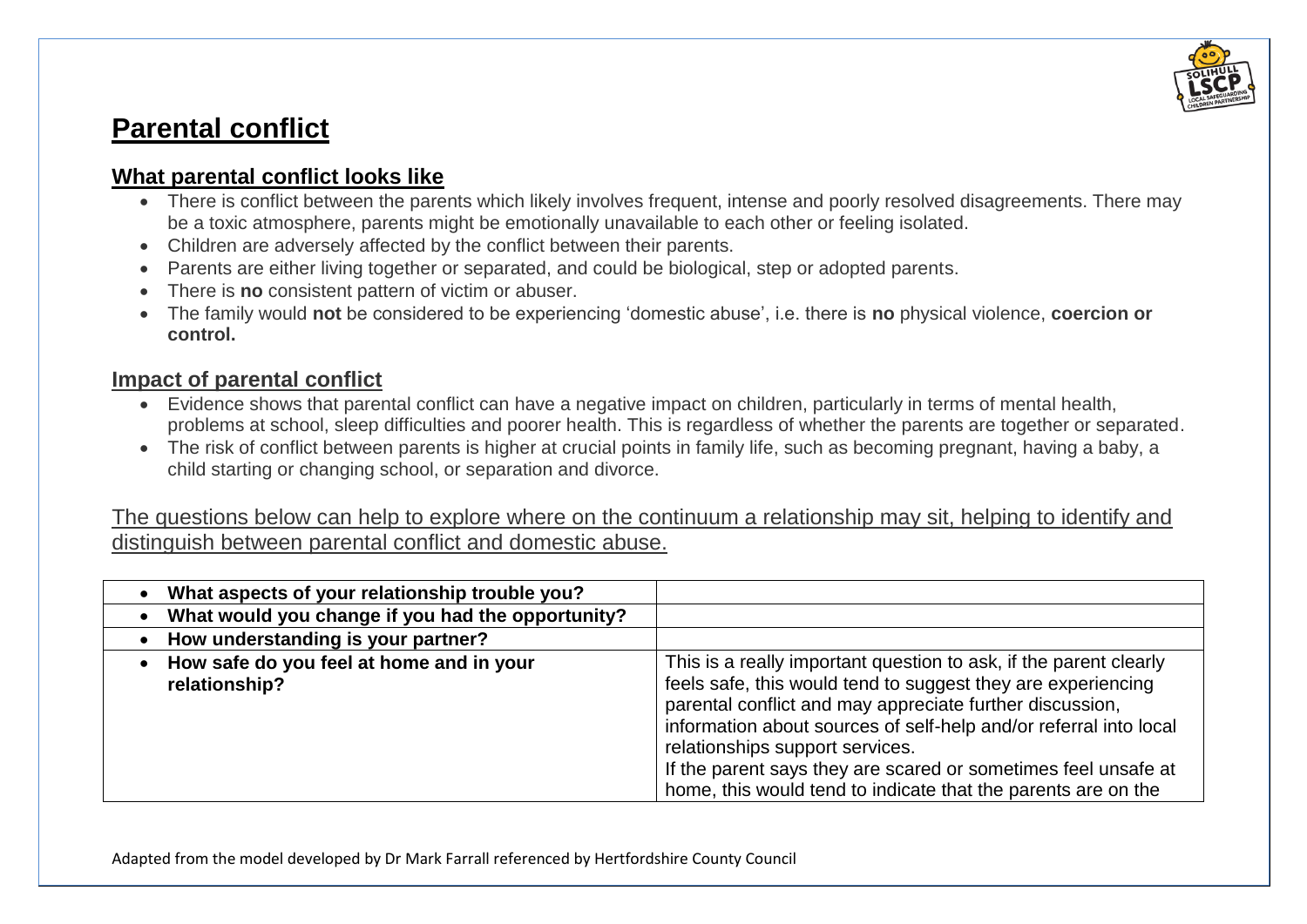

## **Parental conflict**

## **What parental conflict looks like**

- There is conflict between the parents which likely involves frequent, intense and poorly resolved disagreements. There may be a toxic atmosphere, parents might be emotionally unavailable to each other or feeling isolated.
- Children are adversely affected by the conflict between their parents.
- Parents are either living together or separated, and could be biological, step or adopted parents.
- There is **no** consistent pattern of victim or abuser.
- The family would **not** be considered to be experiencing 'domestic abuse', i.e. there is **no** physical violence, **coercion or control.**

## **Impact of parental conflict**

- Evidence shows that parental conflict can have a negative impact on children, particularly in terms of mental health, problems at school, sleep difficulties and poorer health. This is regardless of whether the parents are together or separated.
- The risk of conflict between parents is higher at crucial points in family life, such as becoming pregnant, having a baby, a child starting or changing school, or separation and divorce.

The questions below can help to explore where on the continuum a relationship may sit, helping to identify and distinguish between parental conflict and domestic abuse.

| What aspects of your relationship trouble you?            |                                                                                                                                                                                                                                                                                                                                                                                                                                          |
|-----------------------------------------------------------|------------------------------------------------------------------------------------------------------------------------------------------------------------------------------------------------------------------------------------------------------------------------------------------------------------------------------------------------------------------------------------------------------------------------------------------|
| What would you change if you had the opportunity?         |                                                                                                                                                                                                                                                                                                                                                                                                                                          |
| How understanding is your partner?                        |                                                                                                                                                                                                                                                                                                                                                                                                                                          |
| How safe do you feel at home and in your<br>relationship? | This is a really important question to ask, if the parent clearly<br>feels safe, this would tend to suggest they are experiencing<br>parental conflict and may appreciate further discussion,<br>information about sources of self-help and/or referral into local<br>relationships support services.<br>If the parent says they are scared or sometimes feel unsafe at<br>home, this would tend to indicate that the parents are on the |

Adapted from the model developed by Dr Mark Farrall referenced by Hertfordshire County Council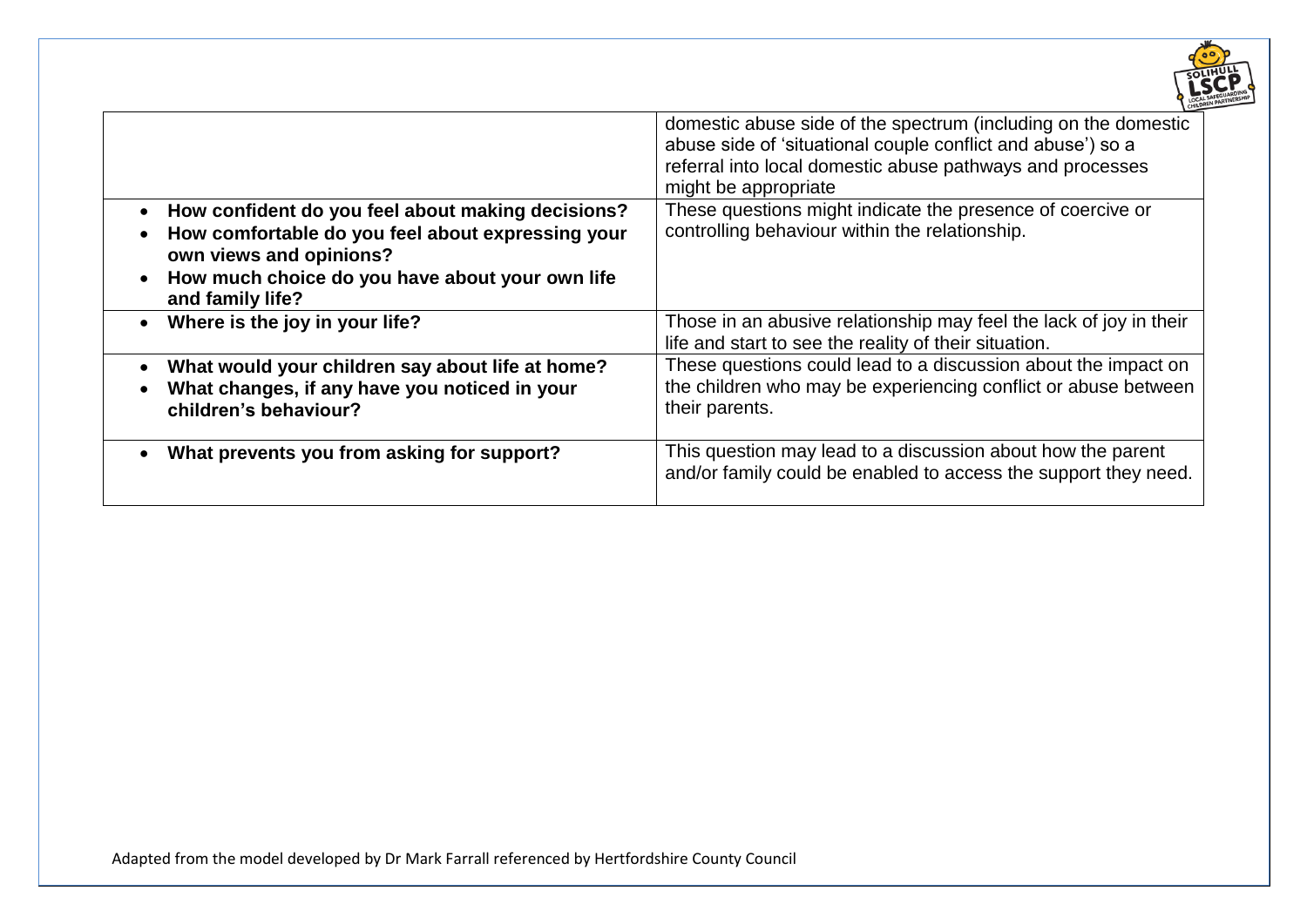

| How confident do you feel about making decisions?<br>$\bullet$<br>How comfortable do you feel about expressing your<br>own views and opinions? | domestic abuse side of the spectrum (including on the domestic<br>abuse side of 'situational couple conflict and abuse') so a<br>referral into local domestic abuse pathways and processes<br>might be appropriate<br>These questions might indicate the presence of coercive or<br>controlling behaviour within the relationship. |
|------------------------------------------------------------------------------------------------------------------------------------------------|------------------------------------------------------------------------------------------------------------------------------------------------------------------------------------------------------------------------------------------------------------------------------------------------------------------------------------|
| How much choice do you have about your own life<br>$\bullet$<br>and family life?                                                               |                                                                                                                                                                                                                                                                                                                                    |
| Where is the joy in your life?                                                                                                                 | Those in an abusive relationship may feel the lack of joy in their<br>life and start to see the reality of their situation.                                                                                                                                                                                                        |
| What would your children say about life at home?<br>What changes, if any have you noticed in your<br>children's behaviour?                     | These questions could lead to a discussion about the impact on<br>the children who may be experiencing conflict or abuse between<br>their parents.                                                                                                                                                                                 |
| What prevents you from asking for support?                                                                                                     | This question may lead to a discussion about how the parent<br>and/or family could be enabled to access the support they need.                                                                                                                                                                                                     |